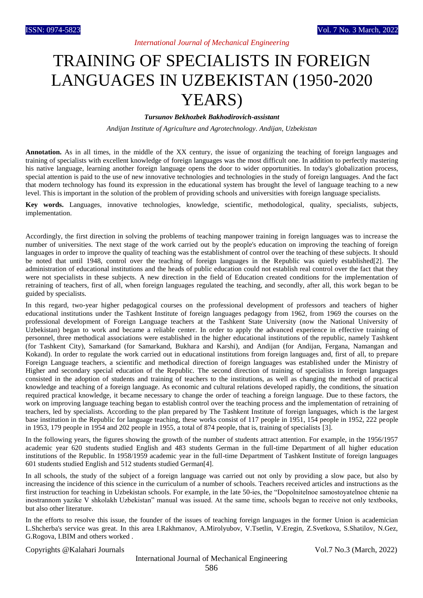## TRAINING OF SPECIALISTS IN FOREIGN LANGUAGES IN UZBEKISTAN (1950-2020 YEARS)

*Tursunov Bekhozbek Bakhodirovich-assistant*

*Andijan Institute of Agriculture and Agrotechnology. Andijan, Uzbekistan* 

**Annotation.** As in all times, in the middle of the XX century, the issue of organizing the teaching of foreign languages and training of specialists with excellent knowledge of foreign languages was the most difficult one. In addition to perfectly mastering his native language, learning another foreign language opens the door to wider opportunities. In today's globalization process, special attention is paid to the use of new innovative technologies and technologies in the study of foreign languages. And the fact that modern technology has found its expression in the educational system has brought the level of language teaching to a new level. This is important in the solution of the problem of providing schools and universities with foreign language specialists.

**Key words.** Languages, innovative technologies, knowledge, scientific, methodological, quality, specialists, subjects, implementation.

Accordingly, the first direction in solving the problems of teaching manpower training in foreign languages was to increase the number of universities. The next stage of the work carried out by the people's education on improving the teaching of foreign languages in order to improve the quality of teaching was the establishment of control over the teaching of these subjects. It should be noted that until 1948, control over the teaching of foreign languages in the Republic was quietly established[2]. The administration of educational institutions and the heads of public education could not establish real control over the fact that they were not specialists in these subjects. A new direction in the field of Education created conditions for the implementation of retraining of teachers, first of all, when foreign languages regulated the teaching, and secondly, after all, this work began to be guided by specialists.

In this regard, two-year higher pedagogical courses on the professional development of professors and teachers of higher educational institutions under the Tashkent Institute of foreign languages pedagogy from 1962, from 1969 the courses on the professional development of Foreign Language teachers at the Tashkent State University (now the National University of Uzbekistan) began to work and became a reliable center. In order to apply the advanced experience in effective training of personnel, three methodical associations were established in the higher educational institutions of the republic, namely Tashkent (for Tashkent City), Samarkand (for Samarkand, Bukhara and Karshi), and Andijan (for Andijan, Fergana, Namangan and Kokand). In order to regulate the work carried out in educational institutions from foreign languages and, first of all, to prepare Foreign Language teachers, a scientific and methodical direction of foreign languages was established under the Ministry of Higher and secondary special education of the Republic. The second direction of training of specialists in foreign languages consisted in the adoption of students and training of teachers to the institutions, as well as changing the method of practical knowledge and teaching of a foreign language. As economic and cultural relations developed rapidly, the conditions, the situation required practical knowledge, it became necessary to change the order of teaching a foreign language. Due to these factors, the work on improving language teaching began to establish control over the teaching process and the implementation of retraining of teachers, led by specialists. According to the plan prepared by The Tashkent Institute of foreign languages, which is the largest base institution in the Republic for language teaching, these works consist of 117 people in 1951, 154 people in 1952, 222 people in 1953, 179 people in 1954 and 202 people in 1955, a total of 874 people, that is, training of specialists [3].

In the following years, the figures showing the growth of the number of students attract attention. For example, in the 1956/1957 academic year 620 students studied English and 483 students German in the full-time Department of all higher education institutions of the Republic. In 1958/1959 academic year in the full-time Department of Tashkent Institute of foreign languages 601 students studied English and 512 students studied German[4].

In all schools, the study of the subject of a foreign language was carried out not only by providing a slow pace, but also by increasing the incidence of this science in the curriculum of a number of schools. Teachers received articles and instructions as the first instruction for teaching in Uzbekistan schools. For example, in the late 50-ies, the "Dopolnitelnoe samostoyatelnoe chtenie na inostrannom yazike V shkolakh Uzbekistan" manual was issued. At the same time, schools began to receive not only textbooks, but also other literature.

In the efforts to resolve this issue, the founder of the issues of teaching foreign languages in the former Union is academician L.Shcherba's service was great. In this area I.Rakhmanov, A.Mirolyubov, V.Tsetlin, V.Eregin, Z.Svetkova, S.Shatilov, N.Gez, G.Rogova, I.BIM and others worked .

Copyrights @Kalahari Journals Vol.7 No.3 (March, 2022)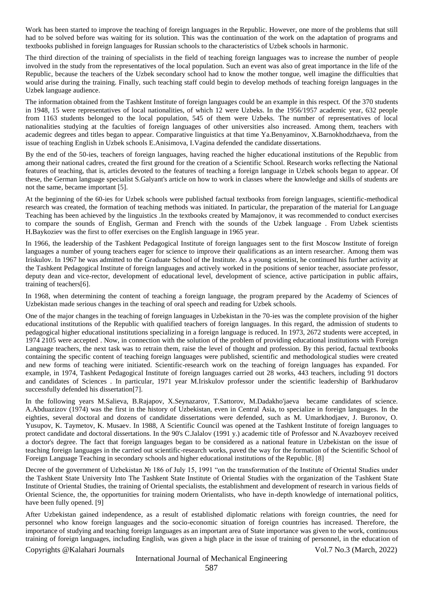Work has been started to improve the teaching of foreign languages in the Republic. However, one more of the problems that still had to be solved before was waiting for its solution. This was the continuation of the work on the adaptation of programs and textbooks published in foreign languages for Russian schools to the characteristics of Uzbek schools in harmonic.

The third direction of the training of specialists in the field of teaching foreign languages was to increase the number of people involved in the study from the representatives of the local population. Such an event was also of great importance in the life of the Republic, because the teachers of the Uzbek secondary school had to know the mother tongue, well imagine the difficulties that would arise during the training. Finally, such teaching staff could begin to develop methods of teaching foreign languages in the Uzbek language audience.

The information obtained from the Tashkent Institute of foreign languages could be an example in this respect. Of the 370 students in 1948, 15 were representatives of local nationalities, of which 12 were Uzbeks. In the 1956/1957 academic year, 632 people from 1163 students belonged to the local population, 545 of them were Uzbeks. The number of representatives of local nationalities studying at the faculties of foreign languages of other universities also increased. Among them, teachers with academic degrees and titles began to appear. Comparative linguistics at that time Ya.Benyaminov, X.Barnokhodzhaeva, from the issue of teaching English in Uzbek schools E.Anisimova, I.Vagina defended the candidate dissertations.

By the end of the 50-ies, teachers of foreign languages, having reached the higher educational institutions of the Republic from among their national cadres, created the first ground for the creation of a Scientific School. Research works reflecting the National features of teaching, that is, articles devoted to the features of teaching a foreign language in Uzbek schools began to appear. Of these, the German language specialist S.Galyant's article on how to work in classes where the knowledge and skills of students are not the same, became important [5].

At the beginning of the 60-ies for Uzbek schools were published factual textbooks from foreign languages, scientific-methodical research was created, the formation of teaching methods was initiated. In particular, the preparation of the material for Language Teaching has been achieved by the linguistics .In the textbooks created by Mamajonov, it was recommended to conduct exercises to compare the sounds of English, German and French with the sounds of the Uzbek language . From Uzbek scientists H.Baykoziev was the first to offer exercises on the English language in 1965 year.

In 1966, the leadership of the Tashkent Pedagogical Institute of foreign languages sent to the first Moscow Institute of foreign languages a number of young teachers eager for science to improve their qualifications as an intern researcher. Among them was Iriskulov. In 1967 he was admitted to the Graduate School of the Institute. As a young scientist, he continued his further activity at the Tashkent Pedagogical Institute of foreign languages and actively worked in the positions of senior teacher, associate professor, deputy dean and vice-rector, development of educational level, development of science, active participation in public affairs, training of teachers[6].

In 1968, when determining the content of teaching a foreign language, the program prepared by the Academy of Sciences of Uzbekistan made serious changes in the teaching of oral speech and reading for Uzbek schools.

One of the major changes in the teaching of foreign languages in Uzbekistan in the 70-ies was the complete provision of the higher educational institutions of the Republic with qualified teachers of foreign languages. In this regard, the admission of students to pedagogical higher educational institutions specializing in a foreign language is reduced. In 1973, 2672 students were accepted, in 1974 2105 were accepted . Now, in connection with the solution of the problem of providing educational institutions with Foreign Language teachers, the next task was to retrain them, raise the level of thought and profession. By this period, factual textbooks containing the specific content of teaching foreign languages were published, scientific and methodological studies were created and new forms of teaching were initiated. Scientific-research work on the teaching of foreign languages has expanded. For example, in 1974, Tashkent Pedagogical Institute of foreign languages carried out 28 works, 443 teachers, including 91 doctors and candidates of Sciences . In particular, 1971 year M.Iriskulov professor under the scientific leadership of Barkhudarov successfully defended his dissertation[7].

In the following years M.Salieva, B.Rajapov, X.Seynazarov, T.Sattorov, M.Dadakho'jaeva became candidates of science. A.Abduazizov (1974) was the first in the history of Uzbekistan, even in Central Asia, to specialize in foreign languages. In the eighties, several doctoral and dozens of candidate dissertations were defended, such as M. Umarkhodjaev, J. Buronov, O. Yusupov, K. Taymetov, K. Musaev. In 1988, A Scientific Council was opened at the Tashkent Institute of foreign languages to protect candidate and doctoral dissertations. In the 90's C.Jalalov (1991 y.) academic title of Professor and N.Avazboyev received a doctor's degree. The fact that foreign languages began to be considered as a national feature in Uzbekistan on the issue of teaching foreign languages in the carried out scientific-research works, paved the way for the formation of the Scientific School of Foreign Language Teaching in secondary schools and higher educational institutions of the Republic. [8]

Decree of the government of Uzbekistan № 186 of July 15, 1991 "on the transformation of the Institute of Oriental Studies under the Tashkent State University Into The Tashkent State Institute of Oriental Studies with the organization of the Tashkent State Institute of Oriental Studies, the training of Oriental specialists, the establishment and development of research in various fields of Oriental Science, the, the opportunities for training modern Orientalists, who have in-depth knowledge of international politics, have been fully opened. [9]

Copyrights @Kalahari Journals Vol.7 No.3 (March, 2022) After Uzbekistan gained independence, as a result of established diplomatic relations with foreign countries, the need for personnel who know foreign languages and the socio-economic situation of foreign countries has increased. Therefore, the importance of studying and teaching foreign languages as an important area of State importance was given to the work, continuous training of foreign languages, including English, was given a high place in the issue of training of personnel, in the education of

## International Journal of Mechanical Engineering